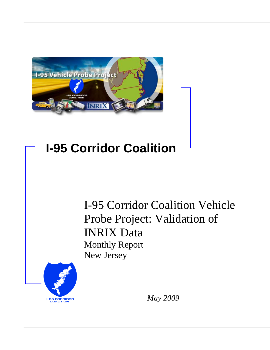

# **I-95 Corridor Coalition**

I-95 Corridor Coalition Vehicle Probe Project: Validation of INRIX Data Monthly Report New Jersey



*May 2009*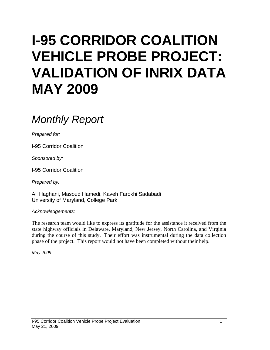# **I-95 CORRIDOR COALITION VEHICLE PROBE PROJECT: VALIDATION OF INRIX DATA MAY 2009**

# *Monthly Report*

*Prepared for:* 

I-95 Corridor Coalition

*Sponsored by:* 

I-95 Corridor Coalition

*Prepared by:* 

Ali Haghani, Masoud Hamedi, Kaveh Farokhi Sadabadi University of Maryland, College Park

*Acknowledgements:* 

The research team would like to express its gratitude for the assistance it received from the state highway officials in Delaware, Maryland, New Jersey, North Carolina, and Virginia during the course of this study. Their effort was instrumental during the data collection phase of the project. This report would not have been completed without their help.

*May 2009*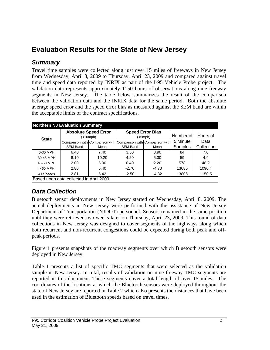## **Evaluation Results for the State of New Jersey**

### *Summary*

Travel time samples were collected along just over 15 miles of freeways in New Jersey from Wednesday, April 8, 2009 to Thursday, April 23, 2009 and compared against travel time and speed data reported by INRIX as part of the I-95 Vehicle Probe project. The validation data represents approximately 1150 hours of observations along nine freeway segments in New Jersey. The table below summarizes the result of the comparison between the validation data and the INRIX data for the same period. Both the absolute average speed error and the speed error bias as measured against the SEM band are within the acceptable limits of the contract specifications.

| <b>Northern NJ Evaluation Summary</b>   |                 |                                          |                                                                 |                                    |           |            |  |  |  |
|-----------------------------------------|-----------------|------------------------------------------|-----------------------------------------------------------------|------------------------------------|-----------|------------|--|--|--|
| <b>State</b>                            |                 | <b>Absolute Speed Error</b><br>(<10 mph) |                                                                 | <b>Speed Error Bias</b><br>(<5mph) | Number of | Hours of   |  |  |  |
|                                         |                 |                                          | Comparison with Comparison with Comparison with Comparison with |                                    | 5 Minute  | Data       |  |  |  |
|                                         | <b>SEM Band</b> | Mean                                     | <b>SEM Band</b>                                                 | Mean                               | Samples   | Collection |  |  |  |
| 0-30 MPH                                | 6.40            | 7.40                                     | 3.50                                                            | 3.90                               | 84        | 7.0        |  |  |  |
| 30-45 MPH                               | 8.10            | 10.20                                    | 4.20                                                            | 5.30                               | 59        | 4.9        |  |  |  |
| 45-60 MPH                               | 2.00            | 5.00                                     | 0.40                                                            | 2.20                               | 578       | 48.2       |  |  |  |
| $>60$ MPH                               | 2.80            | 5.40                                     | $-2.70$                                                         | $-4.70$                            | 13085     | 1090.4     |  |  |  |
| All Speeds                              | 2.81<br>5.42    |                                          | $-2.50$                                                         | $-4.32$                            | 13806     | 1150.5     |  |  |  |
| Based upon data collected in April 2009 |                 |                                          |                                                                 |                                    |           |            |  |  |  |

### *Data Collection*

Bluetooth sensor deployments in New Jersey started on Wednesday, April 8, 2009. The actual deployments in New Jersey were performed with the assistance of New Jersey Department of Transportation (NJDOT) personnel. Sensors remained in the same position until they were retrieved two weeks later on Thursday, April 23, 2009. This round of data collections in New Jersey was designed to cover segments of the highways along which both recurrent and non-recurrent congestions could be expected during both peak and offpeak periods.

Figure 1 presents snapshots of the roadway segments over which Bluetooth sensors were deployed in New Jersey.

Table 1 presents a list of specific TMC segments that were selected as the validation sample in New Jersey. In total, results of validation on nine freeway TMC segments are reported in this document. These segments cover a total length of over 15 miles. The coordinates of the locations at which the Bluetooth sensors were deployed throughout the state of New Jersey are reported in Table 2 which also presents the distances that have been used in the estimation of Bluetooth speeds based on travel times.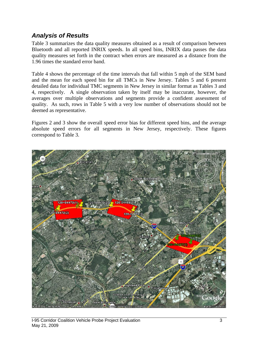### *Analysis of Results*

Table 3 summarizes the data quality measures obtained as a result of comparison between Bluetooth and all reported INRIX speeds. In all speed bins, INRIX data passes the data quality measures set forth in the contract when errors are measured as a distance from the 1.96 times the standard error band.

Table 4 shows the percentage of the time intervals that fall within 5 mph of the SEM band and the mean for each speed bin for all TMCs in New Jersey. Tables 5 and 6 present detailed data for individual TMC segments in New Jersey in similar format as Tables 3 and 4, respectively. A single observation taken by itself may be inaccurate, however, the averages over multiple observations and segments provide a confident assessment of quality. As such, rows in Table 5 with a very low number of observations should not be deemed as representative.

Figures 2 and 3 show the overall speed error bias for different speed bins, and the average absolute speed errors for all segments in New Jersey, respectively. These figures correspond to Table 3.

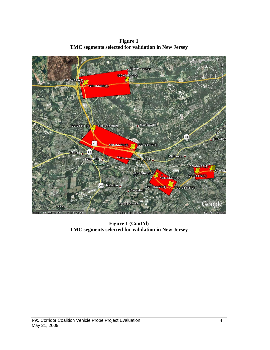**Figure 1 TMC segments selected for validation in New Jersey** 



**Figure 1 (Cont'd) TMC segments selected for validation in New Jersey**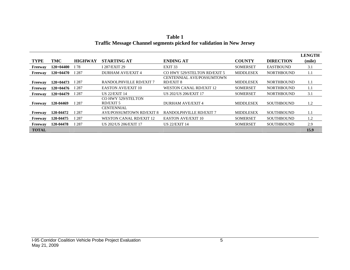|                |             |                |                                 |                                  |                  |                   | <b>LENGTH</b> |
|----------------|-------------|----------------|---------------------------------|----------------------------------|------------------|-------------------|---------------|
| <b>TYPE</b>    | TMC         | <b>HIGHWAY</b> | <b>STARTING AT</b>              | <b>ENDING AT</b>                 | <b>COUNTY</b>    | <b>DIRECTION</b>  | (mile)        |
| <b>Freeway</b> | $120+04400$ | I 78           | I 287/EXIT 29                   | EXIT <sub>33</sub>               | <b>SOMERSET</b>  | <b>EASTBOUND</b>  | 3.1           |
| Freeway        | 120+04470   | I 287          | <b>DURHAM AVE/EXIT 4</b>        | CO HWY 529/STELTON RD/EXIT 5     | <b>MIDDLESEX</b> | <b>NORTHBOUND</b> | 1.1           |
|                |             |                |                                 | <b>CENTENNIAL AVE/POSSUMTOWN</b> |                  |                   |               |
| <b>Freeway</b> | 120+04473   | I 287          | RANDOLPHVILLE RD/EXIT 7         | <b>RD/EXIT 8</b>                 | <b>MIDDLESEX</b> | <b>NORTHBOUND</b> | 1.1           |
| <b>Freeway</b> | 120+04476   | I 287          | <b>EASTON AVE/EXIT 10</b>       | <b>WESTON CANAL RD/EXIT 12</b>   | <b>SOMERSET</b>  | <b>NORTHBOUND</b> | 1.1           |
| Freeway        | 120+04479   | I 287          | <b>US 22/EXIT 14</b>            | US 202/US 206/EXIT 17            | <b>SOMERSET</b>  | <b>NORTHBOUND</b> | 3.1           |
|                |             |                | CO HWY 529/STELTON              |                                  |                  |                   |               |
| Freeway        | 120-04469   | I 287          | <b>RD/EXIT 5</b>                | <b>DURHAM AVE/EXIT 4</b>         | <b>MIDDLESEX</b> | <b>SOUTHBOUND</b> | 1.2           |
|                |             |                | <b>CENTENNIAL</b>               |                                  |                  |                   |               |
| Freeway        | 120-04472   | I 287          | <b>AVE/POSSUMTOWN RD/EXIT 8</b> | RANDOLPHVILLE RD/EXIT 7          | <b>MIDDLESEX</b> | <b>SOUTHBOUND</b> | 1.1           |
| <b>Freeway</b> | 120-04475   | I 287          | <b>WESTON CANAL RD/EXIT 12</b>  | <b>EASTON AVE/EXIT 10</b>        | <b>SOMERSET</b>  | <b>SOUTHBOUND</b> | 1.2           |
| Freeway        | 120-04478   | I 287          | US 202/US 206/EXIT 17           | <b>US 22/EXIT 14</b>             | <b>SOMERSET</b>  | <b>SOUTHBOUND</b> | 2.9           |
| <b>TOTAL</b>   |             |                |                                 |                                  |                  |                   | 15.9          |

**Table 1 Traffic Message Channel segments picked for validation in New Jersey**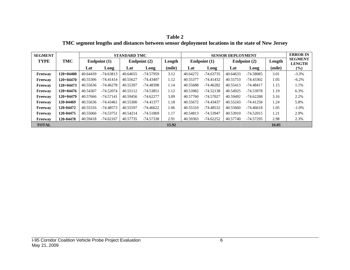**Table 2 TMC segment lengths and distances between sensor deployment locations in the state of New Jersey** 

| <b>SEGMENT</b> |             |          |              | <b>STANDARD TMC</b> |              |        | <b>SENSOR DEPLOYMENT</b> |                |          | <b>ERROR IN</b> |        |                                 |
|----------------|-------------|----------|--------------|---------------------|--------------|--------|--------------------------|----------------|----------|-----------------|--------|---------------------------------|
| <b>TYPE</b>    | TMC         |          | Endpoint (1) |                     | Endpoint (2) | Length |                          | Endpoint $(1)$ |          | Endpoint $(2)$  | Length | <b>SEGMENT</b><br><b>LENGTH</b> |
|                |             | Lat      | Long         | Lat                 | Long         | (mile) | Lat                      | Long           | Lat      | Long            | (mile) | $(\%)$                          |
| Freeway        | $120+04400$ | 40.64439 | $-74.63813$  | 40.64655            | $-74.57959$  | 3.12   | 40.64272                 | $-74.63735$    | 40.64633 | $-74.58085$     | 3.01   | $-3.3\%$                        |
| Freeway        | $120+04470$ | 40.55306 | $-74.41414$  | 40.55627            | $-74.43407$  | 1.12   | 40.55377                 | $-74.41432$    | 40.55753 | -74.43302       | 1.05   | $-6.2\%$                        |
| Freeway        | $120+04473$ | 40.55636 | $-74.46278$  | 40.55397            | $-74.48398$  | 1.14   | 40.55688                 | $-74.46282$    | 40.55413 | $-74.48417$     | 1.15   | 1.1%                            |
| Freeway        | $120+04476$ | 40.54307 | $-74.52074$  | 40.55112            | $-74.53851$  | 1.12   | 40.53982                 | $-74.52138$    | 40.54925 | -74.53978       | 1.19   | 6.3%                            |
| Freeway        | $120+04479$ | 40.57666 | $-74.57141$  | 40.59456            | $-74.62277$  | 3.09   | 40.57760                 | $-74.57027$    | 40.59492 | $-74.62288$     | 3.16   | 2.2%                            |
| Freeway        | 120-04469   | 40.55636 | -74.43461    | 40.55300            | -74.41377    | 1.18   | 40.55672                 | -74.43437      | 40.55243 | -74.41258       | 1.24   | 5.8%                            |
| Freeway        | 120-04472   | 40.55316 | $-74.48573$  | 40.55597            | $-74.46622$  | 1.06   | 40.55310                 | $-74.48532$    | 40.55660 | $-74.46618$     | 1.05   | $-1.0\%$                        |
| Freeway        | 120-04475   | 40.55066 | -74.53751    | 40.54214            | $-74.51869$  | 1.17   | 40.54813                 | -74.53947      | 40.53910 | $-74.52015$     | 1.21   | 2.9%                            |
| Freeway        | 120-04478   | 40.59418 | $-74.62167$  | 40.57735            | $-74.57338$  | 2.91   | 40.59363                 | $-74.62252$    | 40.57740 | -74.57295       | 2.98   | 2.3%                            |
| <b>TOTAL</b>   |             |          |              |                     |              | 15.92  |                          |                |          |                 | 16.05  |                                 |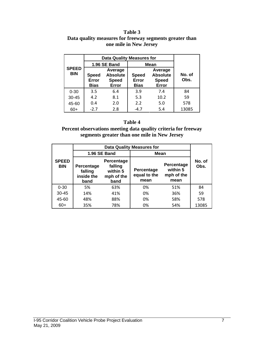#### **Table 3 Data quality measures for freeway segments greater than one mile in New Jersey**

|                            | <b>Data Quality Measures for</b> |                                                     |                                      |                                                     |                |  |
|----------------------------|----------------------------------|-----------------------------------------------------|--------------------------------------|-----------------------------------------------------|----------------|--|
|                            |                                  | 1.96 SE Band                                        | <b>Mean</b>                          |                                                     |                |  |
| <b>SPEED</b><br><b>BIN</b> | <b>Speed</b><br>Error<br>Bias    | Average<br><b>Absolute</b><br><b>Speed</b><br>Error | <b>Speed</b><br>Error<br><b>Bias</b> | Average<br><b>Absolute</b><br><b>Speed</b><br>Error | No. of<br>Obs. |  |
| $0 - 30$                   | 3.5                              | 6.4                                                 | 3.9                                  | 7.4                                                 | 84             |  |
| $30 - 45$                  | 4.2                              | 8.1                                                 | 5.3                                  | 10.2                                                | 59             |  |
| 45-60                      | 0.4                              | 2.0                                                 | 2.2                                  | 5.0                                                 | 578            |  |
| $60+$                      | $-2.7$                           | 2.8                                                 | $-4.7$                               | 5.4                                                 | 13085          |  |

#### **Table 4**

**Percent observations meeting data quality criteria for freeway segments greater than one mile in New Jersey** 

|                            |                                                                                                               | 1.96 SE Band | Mean                               |                                              |                |  |
|----------------------------|---------------------------------------------------------------------------------------------------------------|--------------|------------------------------------|----------------------------------------------|----------------|--|
| <b>SPEED</b><br><b>BIN</b> | Percentage<br>falling<br><b>Percentage</b><br>within 5<br>falling<br>inside the<br>mph of the<br>band<br>band |              | Percentage<br>equal to the<br>mean | Percentage<br>within 5<br>mph of the<br>mean | No. of<br>Obs. |  |
| $0 - 30$                   | 5%                                                                                                            | 63%          | 0%                                 | 51%                                          | 84             |  |
| $30 - 45$                  | 14%                                                                                                           | 41%          | 0%                                 | 36%                                          | 59             |  |
| 45-60                      | 48%                                                                                                           | 88%          | 0%                                 | 58%                                          | 578            |  |
| $60+$                      | 35%                                                                                                           | 78%          | 0%                                 | 54%                                          | 13085          |  |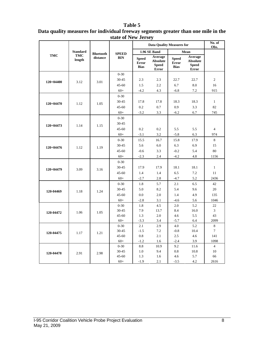#### **Table 5**

| Data quality measures for individual freeway segments greater than one mile in the |  |
|------------------------------------------------------------------------------------|--|
| state of New Jersey                                                                |  |

|             |                      |                  |                    | <b>Data Quality Measures for</b>            |                                                            |                                             |                                                            | No. of<br>Obs.      |
|-------------|----------------------|------------------|--------------------|---------------------------------------------|------------------------------------------------------------|---------------------------------------------|------------------------------------------------------------|---------------------|
|             | <b>Standard</b>      | <b>Bluetooth</b> | <b>SPEED</b>       |                                             | 1.96 SE Band                                               |                                             | Mean                                                       |                     |
| <b>TMC</b>  | <b>TMC</b><br>length | distance         | <b>BIN</b>         | <b>Speed</b><br><b>Error</b><br><b>Bias</b> | Average<br><b>Absolute</b><br><b>Speed</b><br><b>Error</b> | <b>Speed</b><br><b>Error</b><br><b>Bias</b> | Average<br><b>Absolute</b><br><b>Speed</b><br><b>Error</b> |                     |
|             |                      |                  | $0 - 30$           |                                             |                                                            |                                             |                                                            |                     |
| $120+04400$ | 3.12                 | 3.01             | 30-45              | 2.3                                         | 2.3                                                        | 22.7                                        | 22.7                                                       | $\overline{c}$      |
|             |                      |                  | $45 - 60$          | 1.5                                         | 2.2                                                        | 6.7                                         | 8.0                                                        | 16                  |
|             |                      |                  | $60+$              | $-4.2$                                      | 4.3                                                        | $-6.8$                                      | 7.2                                                        | 915                 |
|             |                      |                  | $0 - 30$           |                                             |                                                            |                                             |                                                            |                     |
| 120+04470   | 1.12                 | 1.05             | 30-45              | 17.8                                        | 17.8                                                       | 18.3                                        | 18.3                                                       | $\mathbf{1}$        |
|             |                      |                  | $45 - 60$          | 0.2                                         | 0.7                                                        | 0.9                                         | 3.3                                                        | 82                  |
|             |                      |                  | $60+$              | $-3.2$                                      | 3.3                                                        | $-6.2$                                      | 6.7                                                        | 745                 |
|             |                      |                  | $0 - 30$           |                                             |                                                            |                                             |                                                            |                     |
| 120+04473   | 1.14                 | 1.15             | 30-45              |                                             |                                                            |                                             |                                                            |                     |
|             |                      |                  | $45 - 60$          | 0.2                                         | 0.2                                                        | 5.5                                         | 5.5                                                        | $\overline{4}$      |
|             |                      |                  | $60+$              | $-3.1$                                      | 3.2                                                        | $-5.8$                                      | 6.3                                                        | 974                 |
|             |                      | 1.19             | $0 - 30$           | 15.5                                        | 16.7                                                       | 15.8                                        | 17.9                                                       | 8                   |
| 120+04476   | 1.12                 |                  | 30-45              | 5.6                                         | 6.0                                                        | 6.3                                         | 6.9                                                        | 15                  |
|             |                      |                  | $45 - 60$          | $-0.6$                                      | 3.3                                                        | $-0.2$                                      | 5.4                                                        | 80                  |
|             |                      |                  | $60+$              | $-2.3$                                      | 2.4                                                        | $-4.2$                                      | 4.8                                                        | 1156                |
|             |                      |                  | $0 - 30$           |                                             |                                                            |                                             |                                                            |                     |
|             | 3.09                 | 3.16             | $30 - 45$          | 17.9                                        | 17.9                                                       | 18.1                                        | 18.1                                                       | $\mathbf{1}$        |
| 120+04479   |                      |                  | $45 - 60$          | 1.4                                         | 1.4                                                        | 6.5                                         | 7.2                                                        | 11                  |
|             |                      |                  | $60+$              | $-2.7$                                      | $2.8\,$                                                    | $-4.7$                                      | 5.2                                                        | 2436                |
|             |                      |                  | $0 - 30$           | 1.8                                         | 5.7                                                        | 2.1                                         | 6.5                                                        | 42                  |
| 120-04469   | 1.18                 | 1.24             | 30-45              | 5.0                                         | 8.2                                                        | 5.4                                         | 9.6                                                        | 20                  |
|             |                      |                  | $45 - 60$          | 0.0                                         | 2.0                                                        | 1.4                                         | 4.9                                                        | 135                 |
|             |                      |                  | $60+$              | $-2.8$                                      | 3.1                                                        | $-4.6$                                      | 5.6                                                        | 1046                |
|             |                      |                  | $0 - 30$           | 1.8                                         | 4.5                                                        | 2.0                                         | 5.2                                                        | 22                  |
| 120-04472   | 1.06                 | 1.05             | 30-45              | 7.9                                         | 13.7                                                       | 8.4                                         | 16.0                                                       | $\overline{3}$      |
|             |                      |                  | $45 - 60$          | 1.3                                         | 2.0                                                        | 4.6                                         | 5.5                                                        | 43                  |
|             |                      |                  | $60+$              | $-3.3$                                      | 3.4                                                        | $-5.7$                                      | 6.4                                                        | 2099                |
|             |                      |                  | $0 - 30$           | 2.1                                         | 2.9                                                        | 4.0                                         | 5.2                                                        | 8<br>$\overline{7}$ |
| 120-04475   | 1.17                 | 1.21             | 30-45<br>$45 - 60$ | $-1.5$                                      | 7.2<br>2.1                                                 | $-0.8$<br>2.5                               | 10.4                                                       | 141                 |
|             |                      |                  | $60+$              | 0.8<br>$-1.2$                               | 1.6                                                        | $-2.4$                                      | 4.6<br>3.9                                                 | 1098                |
|             |                      |                  | $0 - 30$           | 8.8                                         | 10.9                                                       | 9.2                                         | 11.6                                                       | $\overline{4}$      |
|             |                      |                  | 30-45              | 1.0                                         | 9.4                                                        | 0.8                                         | 10.8                                                       | 10                  |
| 120-04478   | 2.91                 | 2.98             | 45-60              | 1.3                                         | 1.6                                                        | 4.6                                         | 5.7                                                        | 66                  |
|             |                      |                  | $60+$              | $-1.9$                                      | 2.1                                                        | $-3.5$                                      | 4.2                                                        | 2616                |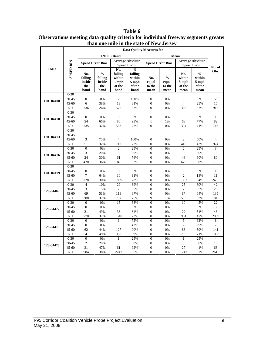|               |                    | <b>Data Quality Measures for</b>        |                                                   |                                                     |                                                               |                                |                                          |                                          |                                                    |                |
|---------------|--------------------|-----------------------------------------|---------------------------------------------------|-----------------------------------------------------|---------------------------------------------------------------|--------------------------------|------------------------------------------|------------------------------------------|----------------------------------------------------|----------------|
|               |                    |                                         | 1.96 SE Band                                      |                                                     |                                                               |                                |                                          |                                          |                                                    |                |
|               |                    | <b>Speed Error Bias</b>                 |                                                   |                                                     | <b>Average Absolute</b>                                       |                                | <b>Speed Error Bias</b>                  | <b>Average Absolute</b>                  |                                                    |                |
| <b>TMC</b>    |                    |                                         |                                                   |                                                     | <b>Speed Error</b>                                            |                                |                                          |                                          | <b>Speed Error</b>                                 | No. of         |
|               | <b>SPEED BIN</b>   | No.<br>falling<br>inside<br>the<br>band | $\frac{0}{0}$<br>falling<br>inside<br>the<br>band | No.<br>falling<br>within<br>5 mph<br>of the<br>band | $\frac{0}{6}$<br>falling<br>within<br>5 mph<br>of the<br>band | No.<br>equal<br>to the<br>mean | $\frac{0}{0}$<br>equal<br>to the<br>mean | No.<br>within<br>5 mph<br>of the<br>mean | $\frac{0}{0}$<br>within<br>5 mph<br>of the<br>mean | Obs.           |
|               | $0 - 30$           |                                         |                                                   |                                                     |                                                               |                                |                                          |                                          |                                                    |                |
| $120+04400$   | $30 - 45$          | $\overline{0}$                          | 0%                                                | $\overline{c}$                                      | 100%                                                          | $\boldsymbol{0}$               | 0%                                       | $\overline{0}$                           | 0%                                                 | $\overline{c}$ |
|               | $45 - 60$          | 6                                       | 38%                                               | 13                                                  | 81%                                                           | $\boldsymbol{0}$               | 0%                                       | $\overline{4}$                           | 25%                                                | 16             |
|               | $60+$              | 236                                     | 26%                                               | 576                                                 | 63%                                                           | $\theta$                       | 0%                                       | 338                                      | 37%                                                | 915            |
|               | $0 - 30$           |                                         |                                                   |                                                     |                                                               |                                |                                          |                                          |                                                    |                |
| $120+04470$   | 30-45              | $\overline{0}$                          | 0%                                                | $\overline{0}$                                      | 0%                                                            | $\mathbf{0}$                   | 0%                                       | $\mathbf{0}$                             | 0%                                                 | $\mathbf{1}$   |
|               | $45 - 60$<br>$60+$ | 54<br>235                               | 66%<br>32%                                        | 80<br>533                                           | 98%                                                           | $\mathbf{1}$<br>$\theta$       | 1%<br>0%                                 | 63<br>304                                | 77%                                                | 82<br>745      |
|               | $0 - 30$           |                                         |                                                   |                                                     | 72%                                                           |                                |                                          |                                          | 41%                                                |                |
|               | 30-45              |                                         |                                                   |                                                     |                                                               |                                |                                          |                                          |                                                    |                |
| $120+04473$   | $45 - 60$          | 3                                       | 75%                                               | $\overline{4}$                                      | 100%                                                          | $\overline{0}$                 | 0%                                       | $\overline{2}$                           | 50%                                                | 4              |
|               | $60+$              | 311                                     | 32%                                               | 712                                                 | 73%                                                           | $\overline{0}$                 | 0%                                       | 416                                      | 43%                                                | 974            |
|               | $0 - 30$           | $\overline{0}$                          | 0%                                                | $\overline{c}$                                      | 25%                                                           | $\overline{0}$                 | 0%                                       | $\overline{2}$                           | 25%                                                | 8              |
|               | 30-45              | 3                                       | 20%                                               | 9                                                   | 60%                                                           | $\overline{0}$                 | 0%                                       | 9                                        | 60%                                                | 15             |
| $120+04476$   | $45 - 60$          | 24                                      | 30%                                               | 61                                                  | 76%                                                           | $\boldsymbol{0}$               | 0%                                       | 48                                       | 60%                                                | 80             |
|               | $60+$              | 420                                     | 36%                                               | 946                                                 | 82%                                                           | $\Omega$                       | 0%                                       | 673                                      | 58%                                                | 1156           |
|               | $0 - 30$           |                                         |                                                   |                                                     |                                                               |                                |                                          |                                          |                                                    |                |
| $120 + 04479$ | 30-45              | $\boldsymbol{0}$                        | 0%                                                | $\theta$                                            | 0%                                                            | $\boldsymbol{0}$               | 0%                                       | $\Omega$                                 | 0%                                                 | $\mathbf{1}$   |
|               | $45 - 60$          | $\overline{7}$                          | 64%                                               | 10                                                  | 91%                                                           | $\overline{0}$                 | 0%                                       | $\overline{c}$                           | 18%                                                | 11             |
|               | $60+$              | 728                                     | 30%                                               | 1889                                                | 78%                                                           | $\mathbf{0}$                   | 0%                                       | 1307                                     | 54%                                                | 2436           |
|               | $0 - 30$           | $\overline{\mathcal{L}}$                | 10%                                               | 29                                                  | 69%                                                           | $\overline{0}$                 | 0%                                       | 25                                       | 60%                                                | 42             |
| 120-04469     | 30-45              | 3                                       | 15%                                               | 7                                                   | 35%                                                           | $\boldsymbol{0}$               | 0%                                       | $\tau$                                   | 35%                                                | 20             |
|               | $45 - 60$          | 69                                      | 51%                                               | 118                                                 | 87%                                                           | $\overline{0}$                 | 0%                                       | 87                                       | 64%                                                | 135            |
|               | $60+$              | 388                                     | 37%                                               | 792                                                 | 76%                                                           | 9                              | 1%                                       | 553                                      | 53%                                                | 1046           |
|               | $0 - 30$           | $\overline{0}$                          | 0%                                                | 15                                                  | 68%                                                           | $\overline{0}$                 | 0%                                       | 10                                       | 45%                                                | 22             |
| 120-04472     | 30-45              | $\boldsymbol{0}$                        | 0%                                                | $\boldsymbol{0}$                                    | 0%                                                            | $\boldsymbol{0}$               | 0%                                       | $\boldsymbol{0}$                         | 0%                                                 | 3              |
|               | $45 - 60$          | 21                                      | 49%                                               | 36                                                  | 84%                                                           | $\overline{0}$<br>$\mathbf{0}$ | 0%                                       | 22                                       | 51%                                                | 43             |
|               | $60+$<br>$0 - 30$  | 770<br>$\overline{0}$                   | 37%<br>0%                                         | 1540<br>6                                           | 73%<br>75%                                                    | $\overline{0}$                 | 0%<br>0%                                 | 994<br>5                                 | 47%<br>63%                                         | 2099<br>8      |
|               | 30-45              | $\boldsymbol{0}$                        | 0%                                                | 3                                                   | 43%                                                           | $\boldsymbol{0}$               | 0%                                       | $\overline{2}$                           | 29%                                                | $\tau$         |
| 120-04475     | $45 - 60$          | 62                                      | 44%                                               | 127                                                 | 90%                                                           | $\overline{0}$                 | 0%                                       | 83                                       | 59%                                                | 141            |
|               | $60+$              | 541                                     | 49%                                               | 980                                                 | 89%                                                           | $\mathbf{0}$                   | 0%                                       | 783                                      | 71%                                                | 1098           |
|               | $0 - 30$           | $\overline{0}$                          | 0%                                                | $\mathbf{1}$                                        | 25%                                                           | $\mathbf{0}$                   | 0%                                       | $\mathbf{1}$                             | 25%                                                | $\overline{4}$ |
|               | 30-45              | $\overline{2}$                          | 20%                                               | 3                                                   | 30%                                                           | $\mathbf{0}$                   | 0%                                       | 3                                        | 30%                                                | 10             |
| 120-04478     | $45 - 60$          | 31                                      | 47%                                               | 61                                                  | 92%                                                           | $\boldsymbol{0}$               | 0%                                       | 27                                       | 41%                                                | 66             |
|               | $60+$              | 984                                     | 38%                                               | 2243                                                | 86%                                                           | $\mathbf{0}$                   | 0%                                       | 1742                                     | 67%                                                | 2616           |

**Table 6 Observations meeting data quality criteria for individual freeway segments greater than one mile in the state of New Jersey**